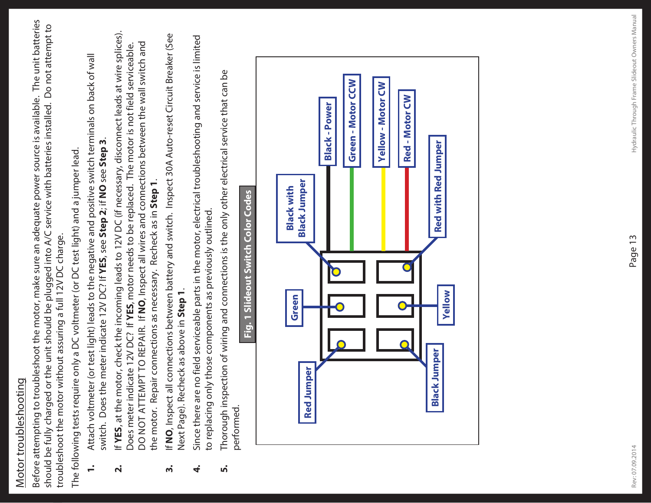## Motor troubleshooting Motor troubleshooting

Before attempting to troubleshoot the motor, make sure an adequate power source is available. The unit batteries Before attempting to troubleshoot the motor, make sure an adequate power source is available. The unit batteries should be fully charged or the unit should be plugged into A/C service with batteries installed. Do not attempt to should be fully charged or the unit should be plugged into A/C service with batteries installed. Do not attempt to troubleshoot the motor without assuring a full 12V DC charge. troubleshoot the motor without assuring a full 12V DC charge.

The following tests require only a DC voltmeter (or DC test light) and a jumper lead. The following tests require only a DC voltmeter (or DC test light) and a jumper lead.

- **1.** Attach voltmeter (or test light) leads to the negative and positive switch terminals on back of wall Attach voltmeter (or test light) leads to the negative and positive switch terminals on back of wall switch. Does the meter indicate 12V DC? If YES, see Step 2; if NO see Step 3. switch. Does the meter indicate 12V DC? If **YES**, see **Step 2**; if **NO** see **Step 3**.  $\dot{=}$
- **2.** If **YES**, at the motor, check the incoming leads to 12V DC (if necessary, disconnect leads at wire splices). If YES, at the motor, check the incoming leads to 12V DC (if necessary, disconnect leads at wire splices). DO NOT ATTEMPT TO REPAIR. If **NO**, Inspect all wires and connections between the wall switch and Does meter indicate 12V DC? If **YES**, motor needs to be replaced. The motor is not field serviceable. DO NOT ATTEMPT TO REPAIR. If NO, Inspect all wires and connections between the wall switch and Does meter indicate 12V DC? If YES, motor needs to be replaced. The motor is not field serviceable. the motor. Repair connections as necessary. Recheck as in Step 1. the motor. Repair connections as necessary. Recheck as in **Step 1**.  $\dot{\mathbf{r}}$
- **3.** If **NO**, Inspect all connections between battery and switch. Inspect 30A Auto-reset Circuit Breaker (See If NO, Inspect all connections between battery and switch. Inspect 30A Auto-reset Circuit Breaker (See Next Page). Recheck as above in Step 1. Next Page). Recheck as above in **Step 1**. ന്
- **4.** Since there are no field serviceable parts in the motor, electrical troubleshooting and service is limited Since there are no field serviceable parts in the motor, electrical troubleshooting and service is limited to replacing only those components as previously outlined. to replacing only those components as previously outlined. 4
	- **5.** Thorough inspection of wiring and connections is the only other electrical service that can be Thorough inspection of wiring and connections is the only other electrical service that can be performed. ທ່